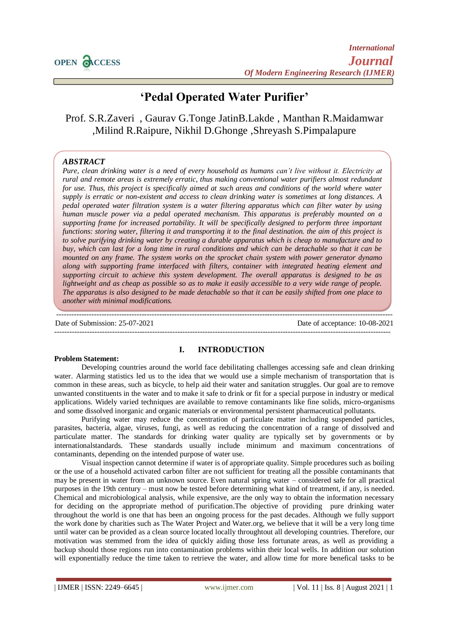# **'Pedal Operated Water Purifier'**

Prof. S.R.Zaveri , Gaurav G.Tonge JatinB.Lakde , Manthan R.Maidamwar ,Milind R.Raipure, Nikhil D.Ghonge ,Shreyash S.Pimpalapure

## *ABSTRACT*

*Pure, clean drinking water is a need of every household as humans can't live without it. Electricity at rural and remote areas is extremely erratic, thus making conventional water purifiers almost redundant for use. Thus, this project is specifically aimed at such areas and conditions of the world where water supply is erratic or non-existent and access to clean drinking water is sometimes at long distances. A pedal operated water filtration system is a water filtering apparatus which can filter water by using human muscle power via a pedal operated mechanism. This apparatus is preferably mounted on a supporting frame for increased portability. It will be specifically designed to perform three important functions: storing water, filtering it and transporting it to the final destination. the aim of this project is to solve purifying drinking water by creating a durable apparatus which is cheap to manufacture and to buy, which can last for a long time in rural conditions and which can be detachable so that it can be mounted on any frame. The system works on the sprocket chain system with power generator dynamo along with supporting frame interfaced with filters, container with integrated heating element and supporting circuit to achieve this system development. The overall apparatus is designed to be as lightweight and as cheap as possible so as to make it easily accessible to a very wide range of people. The apparatus is also designed to be made detachable so that it can be easily shifted from one place to another with minimal modifications.*

Date of Submission: 25-07-2021 Date of acceptance: 10-08-2021

--------------------------------------------------------------------------------------------------------------------------------------

## **Problem Statement:**

## **I. INTRODUCTION**

--------------------------------------------------------------------------------------------------------------------------------------

Developing countries around the world face debilitating challenges accessing safe and clean drinking water. Alarming statistics led us to the idea that we would use a simple mechanism of transportation that is common in these areas, such as bicycle, to help aid their water and sanitation struggles. Our goal are to remove unwanted constituents in the water and to make it safe to drink or fit for a special purpose in industry or medical applications. Widely varied techniques are available to remove contaminants like fine solids, micro-organisms and some dissolved inorganic and organic materials or environmental persistent pharmaceutical pollutants.

Purifying water may reduce the concentration of particulate matter including suspended particles, parasites, bacteria, algae, viruses, fungi, as well as reducing the concentration of a range of dissolved and particulate matter. The standards for drinking water quality are typically set by governments or by internationalstandards. These standards usually include minimum and maximum concentrations of contaminants, depending on the intended purpose of water use.

Visual inspection cannot determine if water is of appropriate quality. Simple procedures such as boiling or the use of a household activated carbon filter are not sufficient for treating all the possible contaminants that may be present in water from an unknown source. Even natural spring water – considered safe for all practical purposes in the 19th century – must now be tested before determining what kind of treatment, if any, is needed. Chemical and microbiological analysis, while expensive, are the only way to obtain the information necessary for deciding on the appropriate method of purification.The objective of providing pure drinking water throughout the world is one that has been an ongoing process for the past decades. Although we fully support the work done by charities such as The Water Project and Water.org, we believe that it will be a very long time until water can be provided as a clean source located locally throughtout all developing countries. Therefore, our motivation was stemmed from the idea of quickly aiding those less fortunate areas, as well as providing a backup should those regions run into contamination problems within their local wells. In addition our solution will exponentially reduce the time taken to retrieve the water, and allow time for more benefical tasks to be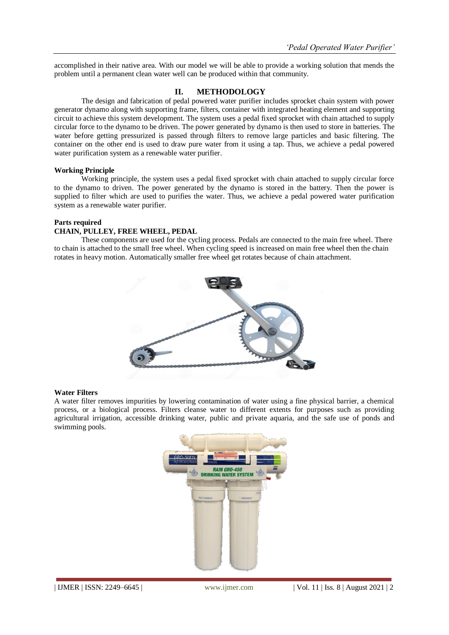accomplished in their native area. With our model we will be able to provide a working solution that mends the problem until a permanent clean water well can be produced within that community.

## **II. METHODOLOGY**

The design and fabrication of pedal powered water purifier includes sprocket chain system with power generator dynamo along with supporting frame, filters, container with integrated heating element and supporting circuit to achieve this system development. The system uses a pedal fixed sprocket with chain attached to supply circular force to the dynamo to be driven. The power generated by dynamo is then used to store in batteries. The water before getting pressurized is passed through filters to remove large particles and basic filtering. The container on the other end is used to draw pure water from it using a tap. Thus, we achieve a pedal powered water purification system as a renewable water purifier.

#### **Working Principle**

Working principle, the system uses a pedal fixed sprocket with chain attached to supply circular force to the dynamo to driven. The power generated by the dynamo is stored in the battery. Then the power is supplied to filter which are used to purifies the water. Thus, we achieve a pedal powered water purification system as a renewable water purifier.

## **Parts required**

## **CHAIN, PULLEY, FREE WHEEL, PEDAL**

These components are used for the cycling process. Pedals are connected to the main free wheel. There to chain is attached to the small free wheel. When cycling speed is increased on main free wheel then the chain rotates in heavy motion. Automatically smaller free wheel get rotates because of chain attachment.



#### **Water Filters**

A water filter removes impurities by lowering contamination of water using a fine physical barrier, a chemical process, or a biological process. Filters cleanse water to different extents for purposes such as providing agricultural irrigation, accessible drinking water, public and private aquaria, and the safe use of ponds and swimming pools.

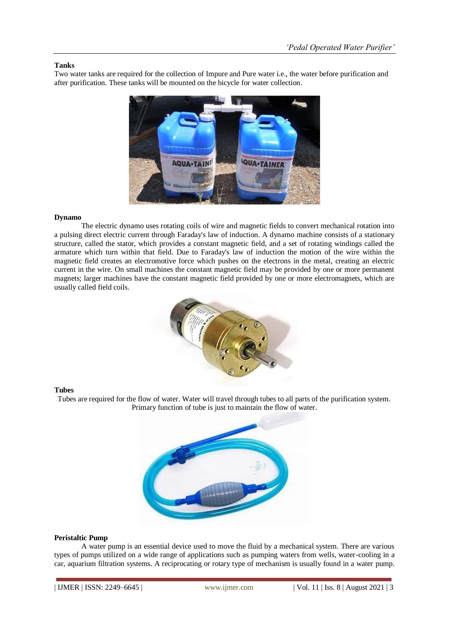## **Tanks**

Two water tanks are required for the collection of Impure and Pure water i.e., the water before purification and after purification. These tanks will be mounted on the bicycle for water collection.



## **Dynamo**

The electric dynamo uses rotating coils of wire and magnetic fields to convert mechanical rotation into a pulsing direct electric current through Faraday's law of induction. A dynamo machine consists of a stationary structure, called the stator, which provides a constant magnetic field, and a set of rotating windings called the armature which turn within that field. Due to Faraday's law of induction the motion of the wire within the magnetic field creates an electromotive force which pushes on the electrons in the metal, creating an electric current in the wire. On small machines the constant magnetic field may be provided by one or more permanent magnets; larger machines have the constant magnetic field provided by one or more electromagnets, which are usually called field coils.



#### **Tubes**

Tubes are required for the flow of water. Water will travel through tubes to all parts of the purification system. Primary function of tube is just to maintain the flow of water.



## **Peristaltic Pump**

A water pump is an essential device used to move the fluid by a mechanical system. There are various types of pumps utilized on a wide range of applications such as pumping waters from wells, water-cooling in a car, aquarium filtration systems. A reciprocating or rotary type of mechanism is usually found in a water pump.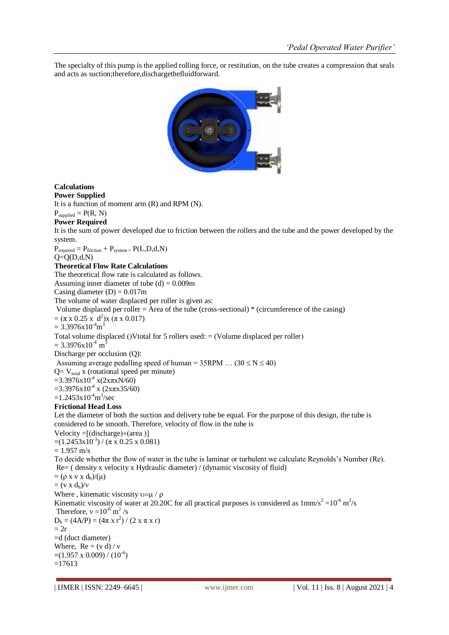The specialty of this pump is the applied rolling force, or restitution, on the tube creates a compression that seals and acts as suction;therefore,dischargethefluidforward.



## **Calculations**

**Power Supplied**

It is a function of moment arm (R) and RPM (N).

## $P_{\text{supplied}} = P(R, N)$

## **Power Required**

It is the sum of power developed due to friction between the rollers and the tube and the power developed by the system.

 $P_{required} = P_{friction} + P_{system} = P(L, D, d, N)$ 

## $Q=Q(D,d,N)$

## **Theoretical Flow Rate Calculations**

The theoretical flow rate is calculated as follows.

Assuming inner diameter of tube  $(d) = 0.009$ m

Casing diameter  $(D) = 0.017$ m

The volume of water displaced per roller is given as:

## Volume displaced per roller = Area of the tube (cross-sectional) \* (circumference of the casing)

 $= (\pi \times 0.25 \times d^2) \times (\pi \times 0.017)$ 

 $= 3.3976 \times 10^{-4}$ m<sup>3</sup>

Total volume displaced ()Vtotal for 5 rollers used:  $=$  (Volume displaced per roller)

 $= 3.3976 \times 10^{-4}$  m<sup>3</sup>

Discharge per occlusion (Q):

Assuming average pedalling speed of human =  $35$ RPM ...  $(30 \le N \le 40)$ 

 $Q= V_{total} x$  (rotational speed per minute)  $=3.3976$ x $10^{4}$  x(2xπxN/60)

 $=3.3976x10^{4}$  x (2x $\pi$ x35/60)

 $=1.2453\times10^{4}$ m<sup>3</sup>/sec

## **Frictional Head Loss**

Let the diameter of both the suction and delivery tube be equal. For the purpose of this design, the tube is considered to be smooth. Therefore, velocity of flow in the tube is

Velocity =  $[discharge) \div (area)$ ]  $=(1.2453 \times 10^{-3}) / (\pi \times 0.25 \times 0.081)$ 

 $= 1.957$  m/s

To decide whether the flow of water in the tube is laminar or turbulent we calculate Reynolds's Number (Re). Re= ( density x velocity x Hydraulic diameter) / (dynamic viscosity of fluid)

 $= (\rho x v x d_h)/(\mu)$  $= (v x d_h)/v$ 

Where , kinematic viscosity  $v = \mu / \rho$ 

Kinematic viscosity of water at 20.20C for all practical purposes is considered as  $1 \text{mm/s}^2 = 10^{-6} \text{ m}^2/\text{s}$ Therefore,  $v = 10^{-6}$  m<sup>2</sup>/s  $D_h = (4A/P) = (4\pi \times r^2) / (2 \times \pi \times r)$  $= 2r$ =d (duct diameter) Where,  $Re = (v d) / v$  $=(1.957 \times 0.009) / (10^{-6})$ 

=17613